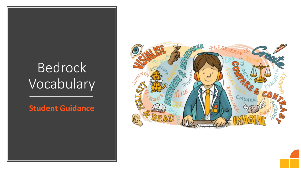## Bedrock Vocabulary

#### **Student Guidance**

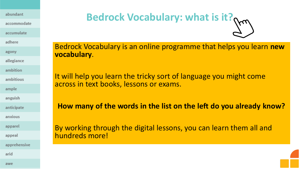abundant

accommodate

accumulate

adhere

agony

allegiance

ambition

ambitious

ample

anguish

anticipate

anxious

apparel

appeal

apprehensive

arid

**Bedrock Vocabulary: what is it?** 

Bedrock Vocabulary is an online programme that helps you learn **new vocabulary**.

It will help you learn the tricky sort of language you might come across in text books, lessons or exams.

**How many of the words in the list on the left do you already know?** 

By working through the digital lessons, you can learn them all and hundreds more!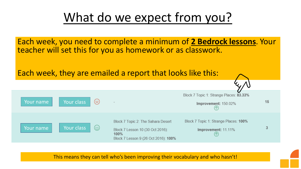## What do we expect from you?

Each week, you need to complete a minimum of **2 Bedrock lessons**. Your teacher will set this for you as homework or as classwork.

Each week, they are emailed a report that looks like this:



This means they can tell who's been improving their vocabulary and who hasn't!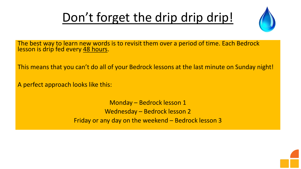## Don't forget the drip drip drip!



The best way to learn new words is to revisit them over a period of time. Each Bedrock lesson is drip fed every 48 hours.

This means that you can't do all of your Bedrock lessons at the last minute on Sunday night!

A perfect approach looks like this:

Monday – Bedrock lesson 1 Wednesday – Bedrock lesson 2 Friday or any day on the weekend – Bedrock lesson 3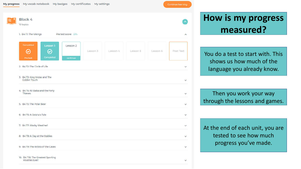Continue learning

 $\widehat{\phantom{a}}$ 

 $\checkmark$ 

 $\checkmark$ 

 $\checkmark$ 

 $\checkmark$ 

 $\checkmark$ 

 $\checkmark$ 

 $\checkmark$ 

 $\checkmark$ 

 $\checkmark$ 

### **How is my progress measured?**

You do a test to start with. This shows us how much of the language you already know.

Then you work your way through the lessons and games.

At the end of each unit, you are tested to see how much progress you've made.

| Block 4<br>10 topics                                                                  |                      |          |          |          |          |           |
|---------------------------------------------------------------------------------------|----------------------|----------|----------|----------|----------|-----------|
| 1. B4 T1: The Vikings                                                                 | Pre test score: 33%  |          |          |          |          |           |
| Completed<br>Lesson 1<br>$\bm{\varpi}$<br>$\bm{\bm{\omega}}$<br>Completed<br>Pre test | Lesson 2<br>continue | Lesson 3 | Lesson 4 | Lesson 5 | Lesson 6 | Post Test |
| 2. B4 T2: The Circle of Life                                                          |                      |          |          |          |          |           |
| 3. B4 T3: King Midas and The<br>Golden Touch                                          |                      |          |          |          |          |           |
| 4. B4 T4: Ali Baba and the Forty<br>Thieves                                           |                      |          |          |          |          |           |
| 5. B4 T5: The Polar Bear                                                              |                      |          |          |          |          |           |
| 6. B4 T6: A Geisha's Tale                                                             |                      |          |          |          |          |           |
| 7. B4 T7: Wacky Weather!                                                              |                      |          |          |          |          |           |
| 8. B4 T8: A Day at the Stables                                                        |                      |          |          |          |          |           |
| 9. B4 T9: The Artists of the Caves                                                    |                      |          |          |          |          |           |
| 10. B4 T10: The Greatest Sporting<br>Rivalries Ever!                                  |                      |          |          |          |          |           |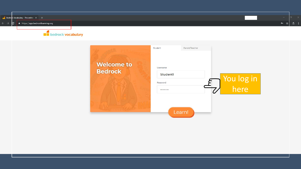

| <b>Welcome to</b><br><b>Bedrock</b> | Parent/Teacher<br>Student<br>Username<br><b>Student1</b><br>Password<br> |        | You log in<br>here |  |  |
|-------------------------------------|--------------------------------------------------------------------------|--------|--------------------|--|--|
|                                     |                                                                          | Learn! |                    |  |  |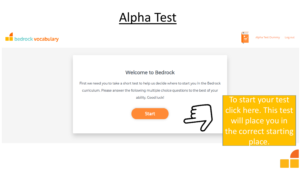## Alpha Test





Alpha Test Dummy Log out

#### **Welcome to Bedrock**

First we need you to take a short test to help us decide where to start you in the Bedrock

curriculum. Please answer the following multiple choice questions to the best of your

ability. Good luck!



To start your test click here. This test will place you in the correct starting place.

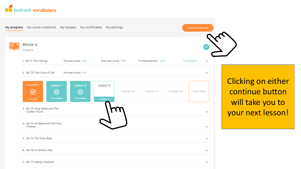

7. B4 T7: Wacky Weather!



Clicking on either continue button will take you to your next lesson!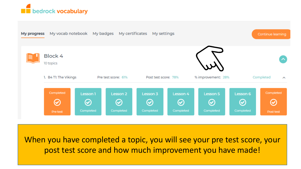



When you have completed a topic, you will see your pre test score, your post test score and how much improvement you have made!